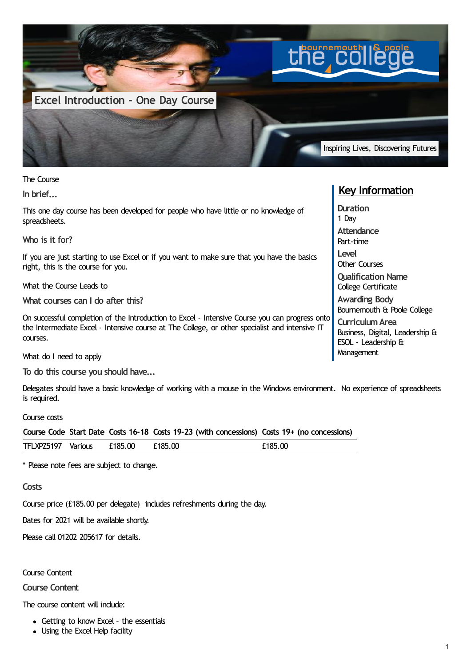

The Course

**In brief...**

This one day course has been developed for people who have little or no knowledge of spreadsheets.

**Who is it for?**

If you are just starting to use Excel or if you want to make sure that you have the basics right, this is the course for you.

What the Course Leads to

**What courses can I do after this?**

On successful completion of the Introduction to Excel - Intensive Course you can progress onto the Intermediate Excel - Intensive course at The College, or other specialist and intensive IT courses.

What do I need to apply

**To do this course you should have...**

Delegates should have a basic knowledge of working with a mouse in the Windows environment. No experience of spreadsheets is required.

## Course costs

|                            |  | Course Code Start Date Costs 16-18 Costs 19-23 (with concessions) Costs 19+ (no concessions) |         |
|----------------------------|--|----------------------------------------------------------------------------------------------|---------|
| TFLXPZ5197 Various £185.00 |  | £185.00                                                                                      | £185.00 |

\* Please note fees are subject to change.

**Costs**

Course price (£185.00 per delegate) includes refreshments during the day.

Dates for 2021 will be available shortly.

Please call 01202 205617 for details.

Course Content

**Course Content**

The course content will include:

- Getting to know Excel the essentials
- Using the Excel Help facility

## **Key Information**

**Duration** 1 Day **Attendance** Part-time **Level** Other Courses **Qualification Name** College Certificate **Awarding Body** Bournemouth & Poole College **CurriculumArea** Business, Digital, Leadership & ESOL - Leadership & **Management**